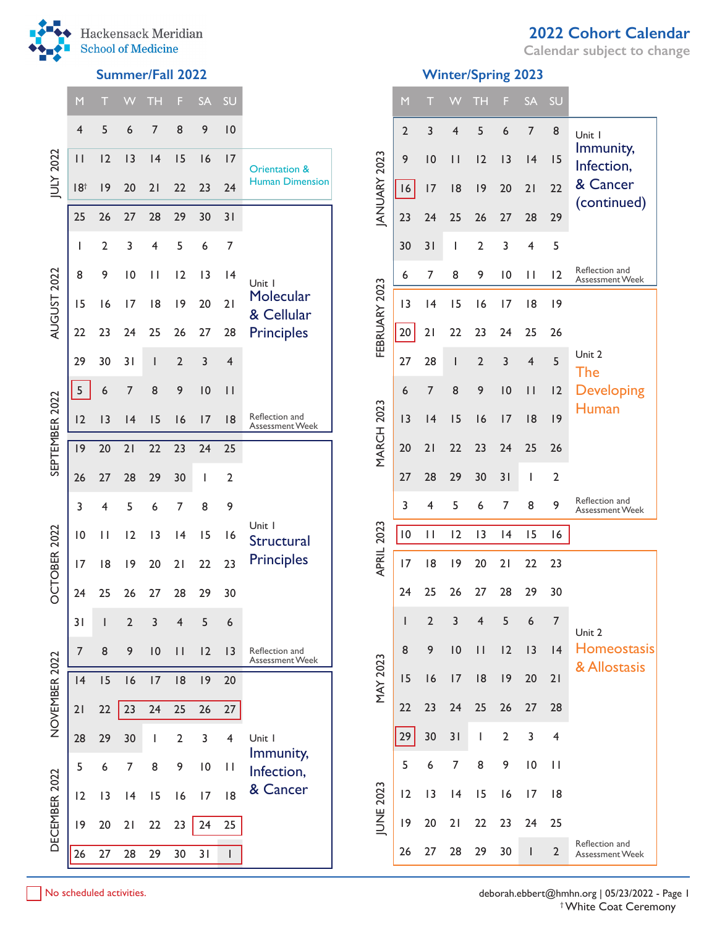

JULY 2022

AUGUST 2022

AUGUST 2022

SEPTEMBER 2022

SEPTEMBER 2022

OCTOBER 2022

OCTOBER 2022

NOVEMBER 2022

NOVEMBER 2022

DECEMBER 2022

DECEMBER 2022

**Calendar subject to change**

# **Summer/Fall 2022 Winter/Spring 2023**

| M               | т              | w              | <b>TH</b>    | F              | <b>SA</b>       | SU             |                                                           |                   | M               | т              | W            | TН             | F              | <b>SA</b>      | SU                      |                                          |
|-----------------|----------------|----------------|--------------|----------------|-----------------|----------------|-----------------------------------------------------------|-------------------|-----------------|----------------|--------------|----------------|----------------|----------------|-------------------------|------------------------------------------|
| 4               | 5              | 6              | 7            | 8              | 9               | 0              |                                                           |                   | $\overline{2}$  | 3              | 4            | 5              | 6              | 7              | 8                       | Unit I                                   |
| $\mathsf{I}$    | 12             | 3              | 4            | 15             | 16              | 17             | Orientation &                                             |                   | 9               | 10             | $\mathbf{H}$ | 12             | 13             | 4              | 15                      | Immunity,<br>Infection,                  |
| 18 <sup>†</sup> | 9              | 20             | 21           | 22             | 23              | 24             | <b>Human Dimension</b>                                    | ANUARY 2023       | 16              | 17             | 8            | 9              | 20             | 21             | 22                      | & Cancer<br>(continued)                  |
| 25              | 26             | 27             | 28           | 29             | 30              | 31             |                                                           |                   | 23              | 24             | 25           | 26             | 27             | 28             | 29                      |                                          |
| $\mathbf{I}$    | $\overline{2}$ | 3              | 4            | 5              | 6               | 7              |                                                           |                   | 30              | 31             | L            | 2              | 3              | 4              | 5                       |                                          |
| 8               | 9              | 10             | $\mathbf{H}$ | 12             | 3               | 4              | Unit I                                                    |                   | 6               | 7              | 8            | 9              | 0              | $\mathbf{H}$   | 12                      | Reflection and<br>Assessment Week        |
| 15              | 16             | 17             | 8            | 9              | 20              | 21             | Molecular<br>& Cellular                                   |                   | 3               | 4              | 15           | 16             | 17             | 8              | 9                       |                                          |
| 22              | 23             | 24             | 25           | 26             | 27              | 28             | <b>Principles</b>                                         | FEBRUARY 2023     | 20              | 21             | 22           | 23             | 24             | 25             | 26                      |                                          |
| 29              | 30             | 31             | L            | $\overline{2}$ | 3               | 4              |                                                           |                   | 27              | 28             |              | $\overline{2}$ | 3              | $\overline{4}$ | 5                       | Unit 2<br>The                            |
| 5               | 6              | 7              | 8            | 9              | 10              | $\vert \vert$  |                                                           |                   | 6               | $\overline{7}$ | 8            | 9              | 10             | $\vert \vert$  | 12                      | <b>Developing</b>                        |
| 12              | 13             | 4              | 15           | 16             | 17              | 8              | Reflection and<br>Assessment Week<br>Unit I<br>Structural |                   | 13              | 4              | 15           | 16             | 17             | 8              | 9                       | Human                                    |
| 9               | 20             | 21             | 22           | 23             | 24              | 25             |                                                           | <b>MARCH 2023</b> | 20              | 21             | 22           | 23             | 24             | 25             | 26                      |                                          |
| 26              | 27             | 28             | 29           | 30             | J.              | $\overline{2}$ |                                                           |                   | 27              | 28             | 29           | 30             | 31             |                | 2                       |                                          |
| 3               | 4              | 5              | 6            | 7              | 8               | 9              |                                                           |                   | 3               | 4              | 5            | 6              | 7              | 8              | 9                       | Reflection and<br>Assessment Week        |
| $\overline{10}$ | $\mathbf{H}$   | 12             | 3            | 4              | 15              | 16             |                                                           | 2023              | $\overline{10}$ | $\mathbf{H}$   | 12           | 13             | 4              | 15             | 16                      |                                          |
| 17              | 8              | 9              | 20           | 21             | 22              | 23             | <b>Principles</b>                                         | <b>APRIL</b>      | 17              | 8              | 9            | 20             | 21             | 22             | 23                      |                                          |
| 24              | 25             | 26             | 27           | 28             | 29              | 30             |                                                           |                   | 24              | 25             | 26           | 27             | 28             | 29             | 30                      |                                          |
| 31              |                | $\overline{2}$ | 3            | 4              | 5               | 6              |                                                           |                   |                 | $\overline{2}$ | 3            | 4              | 5              | 6              | $\overline{7}$          | Unit 2                                   |
| $\overline{7}$  | 8              | 9              | 10           | $\mathbf{H}$   | 12              | 3              | Reflection and<br><b>Assessment Week</b>                  |                   | 8               | 9              | 10           | $\mathbf{H}$   | 12             | 13             | 4                       | <b>Homeostasis</b><br>& Allostasis       |
| 4               | 15             | 16             | 17           | 8              | 9               | 20             |                                                           | <b>MAY 2023</b>   | 15              | 16             | 17           | 8              | 9              | 20             | 21                      |                                          |
| 21              | 22             | 23             | 24           | 25             | 26              | 27             |                                                           |                   | 22              | 23             | 24           | 25             | 26             | 27             | 28                      |                                          |
| 28              | 29             | 30             | $\mathbf{I}$ | 2              | 3               | 4              | Unit I<br>Immunity,                                       |                   | 29              | 30             | 31           | $\mathbf{I}$   | $\overline{2}$ | 3              | $\overline{\mathbf{4}}$ |                                          |
| 5               | 6              | $\overline{7}$ | 8            | 9              | $\overline{10}$ | П              | Infection,                                                |                   | 5               | 6              | 7            | 8              | 9              | 10             | $\mathbf{H}$            |                                          |
| 12              | 3              | 4              | 15           | 16             | 17              | 8              | & Cancer                                                  | <b>IUNE 2023</b>  | 12              | 13             | 4            | 15             | 16             | 17             | 8                       |                                          |
| 19              | 20             | 21             | 22           | 23             | 24              | 25             |                                                           |                   | 9               | 20             | 21           | 22             | 23             | 24             | 25                      |                                          |
| 26              | 27             | 28             | 29           | 30             | 31              | L              |                                                           |                   | 26              | 27             | 28           | 29             | 30             | L              | $\overline{2}$          | Reflection and<br><b>Assessment Week</b> |
|                 |                |                |              |                |                 |                |                                                           |                   |                 |                |              |                |                |                |                         |                                          |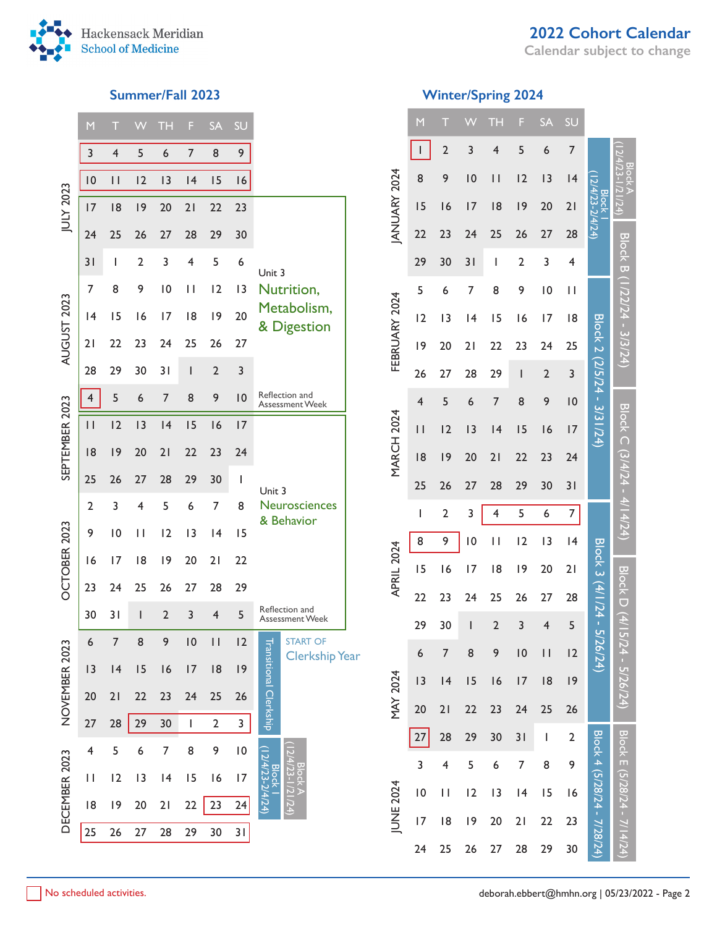

# **2022 Cohort Calendar**

**Calendar subject to change**

|                | M              | T                        |                | <b>TH</b>      | F              | <b>SA</b>               | SŪ              |                                                                      |  |
|----------------|----------------|--------------------------|----------------|----------------|----------------|-------------------------|-----------------|----------------------------------------------------------------------|--|
|                | 3              | 4                        | 5              | 6              | $\overline{7}$ | 8                       | 9               |                                                                      |  |
|                | 10             | $\overline{\phantom{a}}$ | 12             | 13             | 4              | 15                      | 16              |                                                                      |  |
| JULY 2023      | 17             | 8                        | 9              | 20             | 21             | 22                      | 23              |                                                                      |  |
|                | 24             | 25                       | 26             | 27             | 28             | 29                      | 30              |                                                                      |  |
|                | 31             | I                        | $\overline{2}$ | 3              | 4              | 5                       | 6               | Unit 3                                                               |  |
|                | 7              | 8                        | 9              | $\overline{0}$ | П              | 12                      | 3               | Nutrition,                                                           |  |
|                | 4              | 15                       | 16             | 17             | 18             | 19                      | 20              | Metabolism,<br>& Digestion                                           |  |
| AUGUST 2023    | 21             | 22                       | 23             | 24             | 25             | 26                      | 27              |                                                                      |  |
|                | 28             | 29                       | 30             | 31             | I              | $\overline{2}$          | 3               |                                                                      |  |
|                | 4              | 5                        | 6              | $\overline{7}$ | 8              | 9                       | 10              | Reflection and<br><b>Assessment Week</b>                             |  |
| SEPTEMBER 2023 | П              | 2                        | 3              | 4              | 15             | 16                      | 17              |                                                                      |  |
|                | 8              | 9                        | 20             | 21             | 22             | 23                      | 24              |                                                                      |  |
|                | 25             | 26                       | 27             | 28             | 29             | 30                      | I               | Unit 3                                                               |  |
|                | $\overline{2}$ | 3                        | 4              | 5              | 6              | 7                       | 8               | Neurosciences                                                        |  |
|                | 9              | $\overline{0}$           | П              | 12             | 13             | 14                      | 15              | & Behavior                                                           |  |
| OCTOBER 2023   | 16             | 17                       | 18             | 9              | 20             | 21                      | 22              |                                                                      |  |
|                | 23             | 24                       | 25             | 26             | 27             | 28                      | 29              |                                                                      |  |
|                | 30             | 31                       | I              | $\overline{2}$ | 3              | 4                       | 5               | Reflection and<br>Assessment Week                                    |  |
|                | 6              | 7                        | 8              | 9              | 10             | П                       | 2               | <b>START OF</b>                                                      |  |
|                | 3              | 4                        | 15             | 16             | 17             | 8                       | 9               | <b>Clerkship Year</b>                                                |  |
| NOVEMBER 2023  | 20             | 21                       | 22             | 23             | 24             | 25                      | 26              | Transitional Clerkship                                               |  |
|                | 27             | 28                       | 29             | 30             | I              | $\overline{\mathbf{c}}$ | 3               |                                                                      |  |
|                | 4              | 5                        | 6              | 7              | 8              | 9                       | $\overline{10}$ |                                                                      |  |
|                | П              | 2                        | 3              | 4              | 15             | 16                      | 7               | $12/4/23 - 1/21/24$<br>$12/4/23 - 2/4/24$<br>Block A<br><b>Block</b> |  |
| DECEMBER 2023  | 18             | 9                        | 20             | 21             | 22             | 23                      | 24              |                                                                      |  |
|                | 25             | 26                       | 27             | 28             | 29             | 30                      | 31              |                                                                      |  |
|                |                |                          |                |                |                |                         |                 |                                                                      |  |

# **Summer/Fall 2023 Winter/Spring 2024**

|                   | M                        | Т                       |                | <b>TH</b>               | F                        | <b>SA</b>                                                                                                                                                                                                                                                                                                                                                                        | SU             |                                |                                |
|-------------------|--------------------------|-------------------------|----------------|-------------------------|--------------------------|----------------------------------------------------------------------------------------------------------------------------------------------------------------------------------------------------------------------------------------------------------------------------------------------------------------------------------------------------------------------------------|----------------|--------------------------------|--------------------------------|
|                   | $\overline{\phantom{a}}$ | $\overline{2}$          | 3              | 4                       | 5                        | 6                                                                                                                                                                                                                                                                                                                                                                                | 7              |                                |                                |
|                   | 8                        | 9                       | $\overline{0}$ | П                       | 2                        | 3                                                                                                                                                                                                                                                                                                                                                                                | 4              |                                | $12/4/23 - 1/21/24$<br>Block A |
| JANUARY 2024      | 15                       | 16                      | 7              | 8                       | 9                        | 20                                                                                                                                                                                                                                                                                                                                                                               | 21             | 12/4/23-2/4/24<br><b>Block</b> |                                |
|                   | 22                       | 23                      | 24             | 25                      | 26                       | 27                                                                                                                                                                                                                                                                                                                                                                               | 28             |                                |                                |
|                   | 29                       | 30                      | 31             | I                       | $\overline{2}$           | 3                                                                                                                                                                                                                                                                                                                                                                                | 4              |                                |                                |
|                   | 5                        | 6                       | 7              | 8                       | 9                        | 10                                                                                                                                                                                                                                                                                                                                                                               | П              |                                | Block B (1/22/24 - 3/3/24)     |
|                   | 2                        | 3                       | 14             | 15                      | 16                       | $\overline{17}$                                                                                                                                                                                                                                                                                                                                                                  | 18             |                                |                                |
| FEBRUARY 2024     | 9                        | 20                      | 21             | 22                      | 23                       | 24                                                                                                                                                                                                                                                                                                                                                                               | 25             |                                |                                |
|                   | 26                       | 27                      | 28             | 29                      | $\overline{\phantom{a}}$ | $\overline{2}$                                                                                                                                                                                                                                                                                                                                                                   | 3              |                                |                                |
|                   | $\overline{\mathcal{A}}$ | 5                       | 6              | $\overline{7}$          | 8                        | 9                                                                                                                                                                                                                                                                                                                                                                                | 10             | Block 2 (2/5/24 - 3/31/24)     |                                |
|                   | $\mathsf{I}$             | 2                       | 13             | 4                       | 15                       | 16                                                                                                                                                                                                                                                                                                                                                                               | 17             |                                |                                |
| <b>MARCH 2024</b> | 18                       | 9                       | 20             | 21                      | 22                       | 23                                                                                                                                                                                                                                                                                                                                                                               | 24             |                                |                                |
|                   | 25                       | 26                      | 27             | 28                      | 29                       | 30                                                                                                                                                                                                                                                                                                                                                                               | 31             |                                |                                |
|                   | I                        | $\overline{\mathbf{c}}$ | 3              | 4                       | 5                        | 6                                                                                                                                                                                                                                                                                                                                                                                | 7              |                                | Block C (3/4/24 - 4/14/24)     |
|                   | 8                        | 9                       | 10             | П                       | 2                        | 3                                                                                                                                                                                                                                                                                                                                                                                | 4              |                                |                                |
| APRIL 2024        | 15                       | 16                      | 17             | 18                      | 9                        | 20                                                                                                                                                                                                                                                                                                                                                                               | 21             | Block 3 (4/1/24 - 5            |                                |
|                   | 22                       | 23                      | 24             | 25                      | 26                       | 27                                                                                                                                                                                                                                                                                                                                                                               | 28             |                                | <b>Block D</b>                 |
|                   | 29                       | 30                      | I              | $\overline{\mathbf{c}}$ | 3                        | 4                                                                                                                                                                                                                                                                                                                                                                                | 5              |                                |                                |
|                   | 6                        | $\overline{7}$          | 8              | 9                       | 10                       | $\overline{\mathsf{I}}$                                                                                                                                                                                                                                                                                                                                                          | 12             |                                |                                |
|                   | 3                        | 4                       | 15             | 16                      | 17                       | 8                                                                                                                                                                                                                                                                                                                                                                                | 9              |                                |                                |
| MAY 2024          | 20                       | 21                      | 22             | 23                      | 24                       | 25                                                                                                                                                                                                                                                                                                                                                                               | 26             |                                |                                |
|                   | 27                       | 28                      | 29             | 30                      | 31                       | $\begin{array}{c} \rule{0pt}{2.5ex} \rule{0pt}{2.5ex} \rule{0pt}{2.5ex} \rule{0pt}{2.5ex} \rule{0pt}{2.5ex} \rule{0pt}{2.5ex} \rule{0pt}{2.5ex} \rule{0pt}{2.5ex} \rule{0pt}{2.5ex} \rule{0pt}{2.5ex} \rule{0pt}{2.5ex} \rule{0pt}{2.5ex} \rule{0pt}{2.5ex} \rule{0pt}{2.5ex} \rule{0pt}{2.5ex} \rule{0pt}{2.5ex} \rule{0pt}{2.5ex} \rule{0pt}{2.5ex} \rule{0pt}{2.5ex} \rule{0$ | $\overline{2}$ |                                |                                |
|                   | 3                        | $\overline{\mathbf{4}}$ | 5              | 6                       | 7                        | 8                                                                                                                                                                                                                                                                                                                                                                                | 9              |                                | Block E (5/28/                 |
| JUNE 2024         | $\overline{10}$          | П                       | 2              | 3                       | 4                        | 15                                                                                                                                                                                                                                                                                                                                                                               | 16             |                                |                                |
|                   | 7                        | 18                      | 19             | 20                      | 21                       | 22                                                                                                                                                                                                                                                                                                                                                                               | 23             | Block 4 (5/28/24 - 7/28/       |                                |
|                   | 24                       | 25                      | 26             | 27                      | 28                       | 29                                                                                                                                                                                                                                                                                                                                                                               | 30             |                                |                                |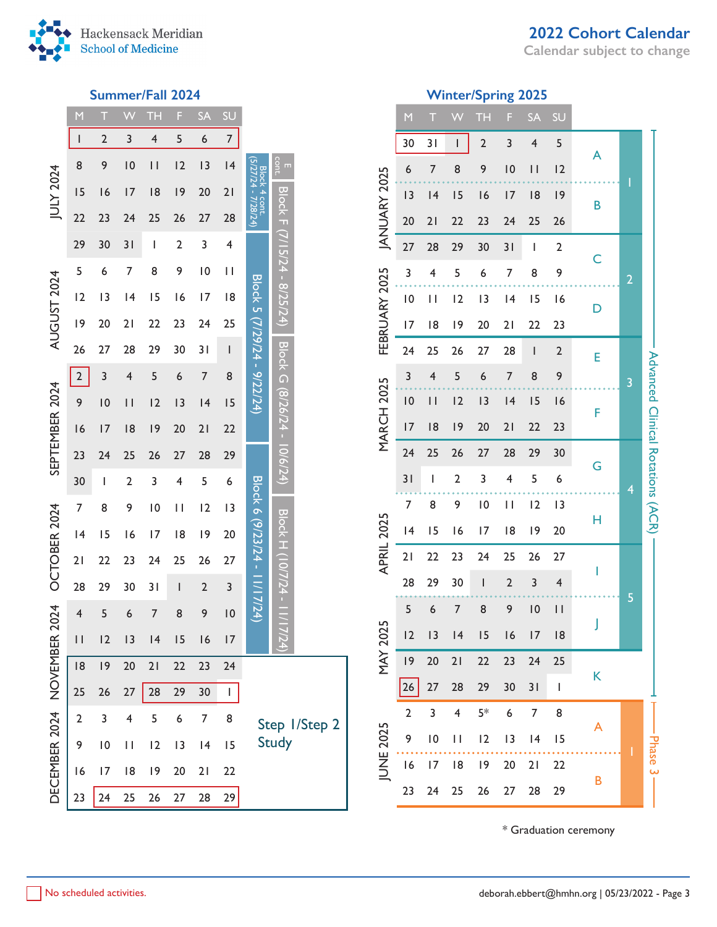

**Calendar subject to change**



## **Summer/Fall 2024 Winter/Spring 2025**

|                        | M                        | T               |                         | ТH                      | F                       | <b>SA</b>               | SU                       |                                             |                                 |               |  |
|------------------------|--------------------------|-----------------|-------------------------|-------------------------|-------------------------|-------------------------|--------------------------|---------------------------------------------|---------------------------------|---------------|--|
|                        | $\overline{\phantom{a}}$ | $\overline{2}$  | 3                       | $\overline{\mathbf{4}}$ | 5                       | 6                       | $\overline{7}$           |                                             |                                 |               |  |
|                        | 8                        | 9               | 10                      | $\vert \vert$           | 2                       | 3                       | 4                        |                                             | cont.<br>$\blacksquare$         |               |  |
| JULY 2024              | 15                       | 16              | 17                      | 8                       | 9                       | 20                      | 21                       | (5/27/24 - 7/28/24)<br><b>Block 4 cont.</b> |                                 |               |  |
|                        | 22                       | 23              | 24                      | 25                      | 26                      | 27                      | 28                       |                                             |                                 |               |  |
|                        | 29                       | 30              | 31                      | I                       | $\overline{\mathbf{c}}$ | 3                       | $\overline{\mathbf{r}}$  |                                             | Block F (7/15/24 - 8/25/24)     |               |  |
|                        | 5                        | 6               | 7                       | 8                       | 9                       | $\overline{10}$         | $\mathsf{I}$             |                                             |                                 |               |  |
| <b>AUGUST 2024</b>     | 2                        | 3               | 4                       | 15                      | 16                      | $\overline{17}$         | 18                       |                                             |                                 |               |  |
|                        | 9                        | 20              | $\overline{2}$          | 22                      | 23                      | 24                      | 25                       |                                             |                                 |               |  |
|                        | 26                       | 27              | 28                      | 29                      | 30                      | 31                      | $\overline{\phantom{a}}$ |                                             |                                 |               |  |
| SEPTEMBER 2024         | $\overline{\mathbf{c}}$  | 3               | 4                       | 5                       | 6                       | 7                       | 8                        | Block 5 (7/29/24 - 9/22/24)                 | Block G (8/26/24 - 10/6/24)     |               |  |
|                        | 9                        | $\overline{10}$ | $\vert \vert$           | 2                       | 3                       | 4                       | 15                       |                                             |                                 |               |  |
|                        | 16                       | 7               | 8                       | 9                       | 20                      | 21                      | 22                       |                                             |                                 |               |  |
|                        | 23                       | 24              | 25                      | 26                      | 27                      | 28                      | 29                       |                                             |                                 |               |  |
|                        | 30                       | I               | $\overline{\mathbf{c}}$ | 3                       | 4                       | 5                       | 6                        |                                             |                                 |               |  |
|                        | 7                        | 8               | 9                       | $\overline{10}$         | П                       | 2                       | $\overline{1}$           |                                             |                                 |               |  |
|                        | 4                        | 15              | 16                      | 17                      | 18                      | 9                       | 20                       |                                             |                                 |               |  |
|                        | 21                       | 22              | 23                      | 24                      | 25                      | 26                      | 27                       |                                             |                                 |               |  |
|                        | 28                       | 29              | 30                      | 31                      | I                       | $\overline{\mathbf{c}}$ | 3                        | Block 6 (9/23/24 - 11/17/24)                |                                 |               |  |
| 2024 OCTOBER 2024      | 4                        | 5               | 6                       | 7                       | 8                       | 9                       | $\overline{10}$          |                                             | <b>Block H (10/7/24 - 11/17</b> |               |  |
|                        | $\vert \ \vert$          | 2               | 3                       | 4                       | 15                      | 16                      | 17                       |                                             |                                 |               |  |
|                        | 18                       | 9               | 20                      | 21                      | 22                      | 23                      | 24                       |                                             |                                 |               |  |
|                        | 25                       | 26              | 27                      | 28                      | 29                      | 30                      | I                        |                                             |                                 |               |  |
| DECEMBER 2024 NOVEMBER | $\overline{2}$           | 3               | 4                       | 5                       | 6                       | 7                       | 8                        |                                             |                                 | Step I/Step 2 |  |
|                        | 9                        | $\overline{10}$ | $\mathbf{I}$            | 12                      | $\overline{1}3$         | 4                       | 15                       |                                             | <b>Study</b>                    |               |  |
|                        | 16                       | 17              | 8                       | 9                       | 20                      | 21                      | 22                       |                                             |                                 |               |  |
|                        | 23                       | 24              | 25                      | 26                      | 27                      | 28                      | 29                       |                                             |                                 |               |  |

|                | M               | T               |                         | TН             | F               | SÄ                       | SU                                                                                                                                                                                                                                                                                                                                                                               |   |                |                                   |
|----------------|-----------------|-----------------|-------------------------|----------------|-----------------|--------------------------|----------------------------------------------------------------------------------------------------------------------------------------------------------------------------------------------------------------------------------------------------------------------------------------------------------------------------------------------------------------------------------|---|----------------|-----------------------------------|
|                | 30              | 31              | I                       | $\overline{2}$ | 3               | 4                        | 5                                                                                                                                                                                                                                                                                                                                                                                | A |                |                                   |
|                | 6               | 7               | 8                       | 9              | $\overline{10}$ | П                        | 2                                                                                                                                                                                                                                                                                                                                                                                |   | I              |                                   |
| JANUARY 2025   | 3               | 4               | 15                      | 16             | 17              | 8                        | 9                                                                                                                                                                                                                                                                                                                                                                                | В |                |                                   |
|                | 20              | 21              | 22                      | 23             | 24<br>25<br>26  |                          |                                                                                                                                                                                                                                                                                                                                                                                  |   |                |                                   |
|                | 27              | 28              | 29                      | 30             | 31              | I                        | $\overline{2}$                                                                                                                                                                                                                                                                                                                                                                   | C |                |                                   |
|                | 3               | 4               | 5                       | 6              | 7               | 8                        | 9                                                                                                                                                                                                                                                                                                                                                                                |   | $\overline{a}$ |                                   |
|                | $\overline{10}$ | П               | 2                       | 3              | 4               | 15                       | 16                                                                                                                                                                                                                                                                                                                                                                               | D |                |                                   |
| FEBRUARY 2025  | $\overline{17}$ | 18              | 9                       | 20             | 21              | 22                       | 23                                                                                                                                                                                                                                                                                                                                                                               |   |                |                                   |
|                | 24              | 25              | 26                      | 27             | 28              | $\overline{\phantom{a}}$ | $\overline{2}$                                                                                                                                                                                                                                                                                                                                                                   | E |                |                                   |
|                | 3               | 4               | 5                       | 6              | $\overline{7}$  | 8                        | 9                                                                                                                                                                                                                                                                                                                                                                                |   | 3              |                                   |
| MARCH 2025     | $\overline{10}$ | П               | 12                      | 3              | 4               | 15                       | 16                                                                                                                                                                                                                                                                                                                                                                               | F |                |                                   |
|                | 17              | 18              | 9                       | 20             | 21              | 22                       | 23                                                                                                                                                                                                                                                                                                                                                                               |   |                |                                   |
|                | 24              | 25              | 26                      | 27             | 28              | 29                       | 30                                                                                                                                                                                                                                                                                                                                                                               | G |                | Advanced Clinical Rotations (ACR) |
|                | 31              | I               | $\mathbf 2$             | 3              | 4               | 5                        | 6                                                                                                                                                                                                                                                                                                                                                                                |   | 4              |                                   |
|                | 7               | 8               |                         | $\overline{0}$ | П               | 12                       | 3                                                                                                                                                                                                                                                                                                                                                                                |   |                |                                   |
|                | 14              | 15              | 16                      | 17             | 18              | 9                        | 20                                                                                                                                                                                                                                                                                                                                                                               | Н |                |                                   |
| APRIL 2025     | 21              | 22              | 23                      | 24             | 25              | 26                       | 27                                                                                                                                                                                                                                                                                                                                                                               | I |                |                                   |
|                | 28              | 29              | 30                      | I              | $\overline{2}$  | 3                        | 4                                                                                                                                                                                                                                                                                                                                                                                |   |                |                                   |
|                | 5               | 6               | 7                       | 8              | 9               | $\overline{10}$          | $\mathsf{I}$                                                                                                                                                                                                                                                                                                                                                                     |   | 5              |                                   |
|                | 2               | 3               | 4                       | 15             | $\overline{6}$  | 17                       | 18                                                                                                                                                                                                                                                                                                                                                                               |   |                |                                   |
| <b>MAY 202</b> | 19              | 20              | 21                      | 22             | 23              | 24                       | 25                                                                                                                                                                                                                                                                                                                                                                               |   |                |                                   |
|                | 26              | 27              | 28                      | 29             | 30              | 31                       | $\begin{array}{c} \rule{0pt}{2.5ex} \rule{0pt}{2.5ex} \rule{0pt}{2.5ex} \rule{0pt}{2.5ex} \rule{0pt}{2.5ex} \rule{0pt}{2.5ex} \rule{0pt}{2.5ex} \rule{0pt}{2.5ex} \rule{0pt}{2.5ex} \rule{0pt}{2.5ex} \rule{0pt}{2.5ex} \rule{0pt}{2.5ex} \rule{0pt}{2.5ex} \rule{0pt}{2.5ex} \rule{0pt}{2.5ex} \rule{0pt}{2.5ex} \rule{0pt}{2.5ex} \rule{0pt}{2.5ex} \rule{0pt}{2.5ex} \rule{0$ | K |                |                                   |
|                | $\overline{2}$  | 3               | $\overline{\mathbf{4}}$ | $5*$           | 6               | $\overline{7}$           | 8                                                                                                                                                                                                                                                                                                                                                                                | A |                |                                   |
|                | 9               | $\overline{10}$ | П                       | 2              | 3               | 4                        | 15                                                                                                                                                                                                                                                                                                                                                                               |   |                | – Phase 3                         |
| JUNE 2025      | 16              | 17              | 18                      | 9              | 20              | 21                       | 22                                                                                                                                                                                                                                                                                                                                                                               |   |                |                                   |
|                | 23              | 24              | 25                      | 26             | 27              | 28                       | 29                                                                                                                                                                                                                                                                                                                                                                               | B |                |                                   |
|                |                 |                 |                         |                |                 |                          |                                                                                                                                                                                                                                                                                                                                                                                  |   |                |                                   |

\* Graduation ceremony